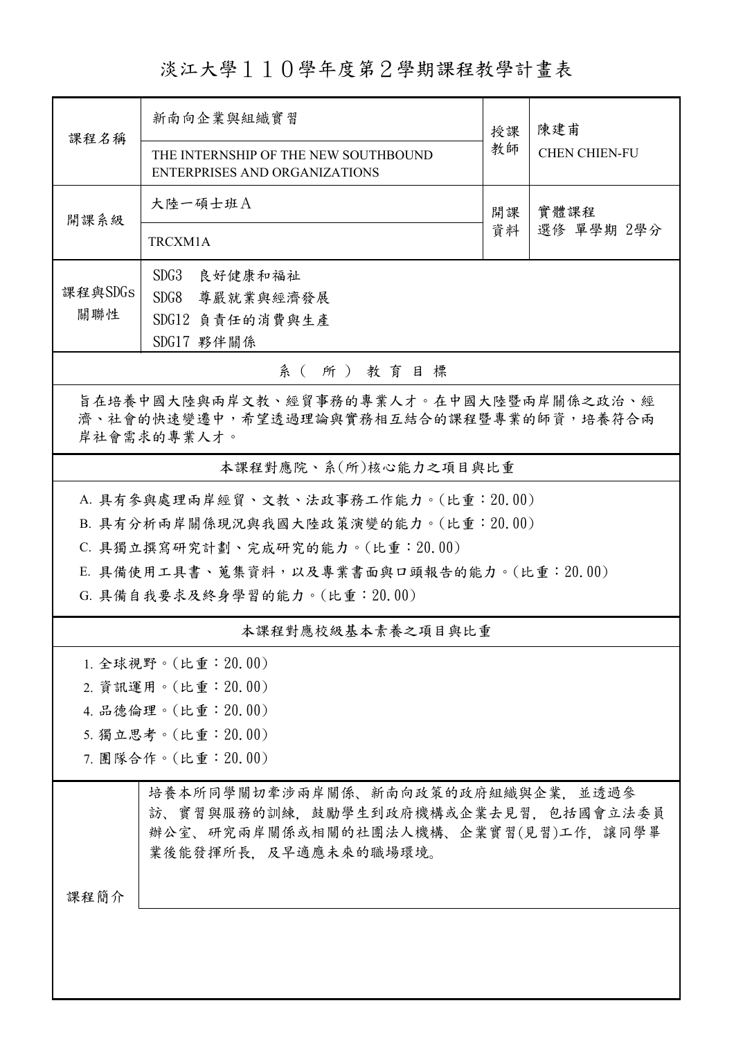淡江大學110學年度第2學期課程教學計畫表

| 課程名稱                                                                                                                                     | 新南向企業與組織實習                                                            | 授課       | 陳建甫<br><b>CHEN CHIEN-FU</b> |  |  |  |  |
|------------------------------------------------------------------------------------------------------------------------------------------|-----------------------------------------------------------------------|----------|-----------------------------|--|--|--|--|
|                                                                                                                                          | THE INTERNSHIP OF THE NEW SOUTHBOUND<br>ENTERPRISES AND ORGANIZATIONS | 教師       |                             |  |  |  |  |
| 開課系級                                                                                                                                     | 大陸一碩士班A                                                               | 開課<br>資料 | 實體課程<br>選修 單學期 2學分          |  |  |  |  |
|                                                                                                                                          | TRCXM1A                                                               |          |                             |  |  |  |  |
|                                                                                                                                          | SDG3<br>良好健康和福祉                                                       |          |                             |  |  |  |  |
| 課程與SDGs                                                                                                                                  | SDG8<br>尊嚴就業與經濟發展                                                     |          |                             |  |  |  |  |
| 關聯性                                                                                                                                      | SDG12 負責任的消費與生產                                                       |          |                             |  |  |  |  |
|                                                                                                                                          | SDG17 夥伴關係                                                            |          |                             |  |  |  |  |
| 系(所)教育目標                                                                                                                                 |                                                                       |          |                             |  |  |  |  |
| 旨在培養中國大陸與兩岸文教、經貿事務的專業人才。在中國大陸暨兩岸關係之政治、經<br>濟、社會的快速變遷中,希望透過理論與實務相互結合的課程暨專業的師資,培養符合兩<br>岸社會需求的專業人才。                                        |                                                                       |          |                             |  |  |  |  |
| 本課程對應院、系(所)核心能力之項目與比重                                                                                                                    |                                                                       |          |                             |  |  |  |  |
| A. 具有參與處理兩岸經貿、文教、法政事務工作能力。(比重:20.00)                                                                                                     |                                                                       |          |                             |  |  |  |  |
| B. 具有分析兩岸關係現況與我國大陸政策演變的能力。(比重:20.00)                                                                                                     |                                                                       |          |                             |  |  |  |  |
| C. 具獨立撰寫研究計劃、完成研究的能力。(比重: 20.00)                                                                                                         |                                                                       |          |                             |  |  |  |  |
| E. 具備使用工具書、蒐集資料,以及專業書面與口頭報告的能力。(比重:20.00)                                                                                                |                                                                       |          |                             |  |  |  |  |
| G. 具備自我要求及終身學習的能力。(比重: 20.00)                                                                                                            |                                                                       |          |                             |  |  |  |  |
|                                                                                                                                          | 本課程對應校級基本素養之項目與比重                                                     |          |                             |  |  |  |  |
|                                                                                                                                          | 1. 全球視野。(比重:20.00)                                                    |          |                             |  |  |  |  |
|                                                                                                                                          | 2. 資訊運用。(比重: 20.00)                                                   |          |                             |  |  |  |  |
| 4. 品德倫理。(比重: 20.00)                                                                                                                      |                                                                       |          |                             |  |  |  |  |
|                                                                                                                                          | 5. 獨立思考。(比重: 20.00)                                                   |          |                             |  |  |  |  |
| 7. 團隊合作。(比重:20.00)                                                                                                                       |                                                                       |          |                             |  |  |  |  |
| 培養本所同學關切牽涉兩岸關係、新南向政策的政府組織與企業,並透過參<br>訪、寶習與服務的訓練,鼓勵學生到政府機構或企業去見習,包括國會立法委員<br>辦公室、研究兩岸關係或相關的社團法人機構、企業實習(見習)工作,讓同學畢<br>業後能發揮所長.及早適應未來的職場環境。 |                                                                       |          |                             |  |  |  |  |
| 課程簡介                                                                                                                                     |                                                                       |          |                             |  |  |  |  |
|                                                                                                                                          |                                                                       |          |                             |  |  |  |  |
|                                                                                                                                          |                                                                       |          |                             |  |  |  |  |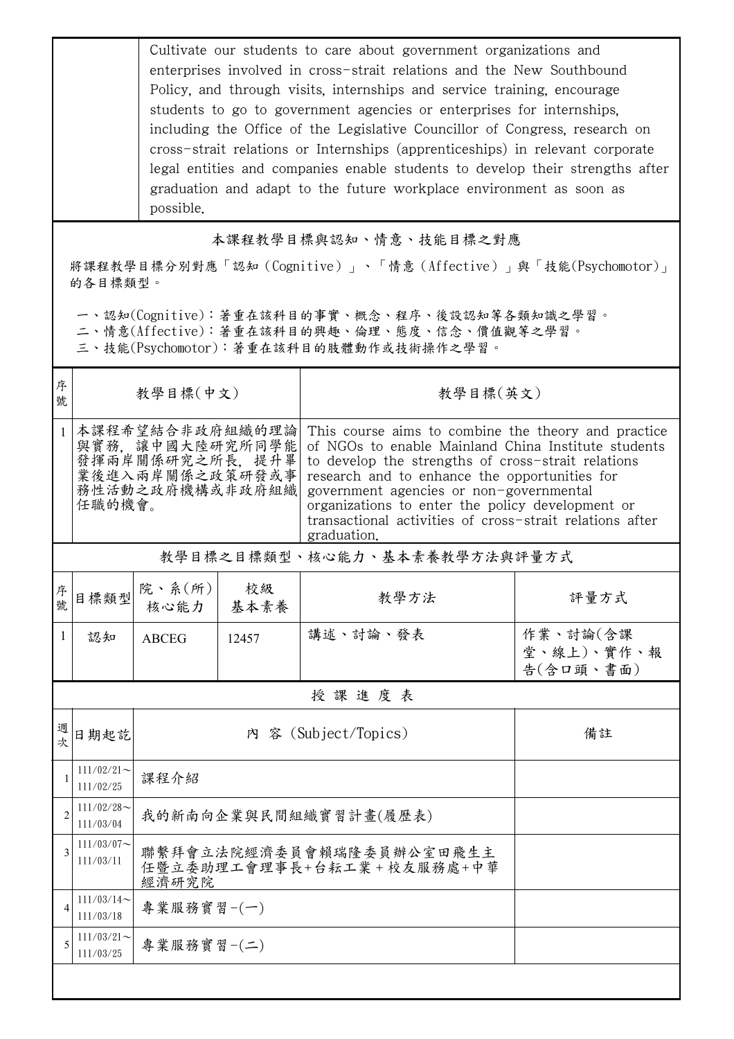|                                                                         | Cultivate our students to care about government organizations and<br>enterprises involved in cross-strait relations and the New Southbound<br>Policy, and through visits, internships and service training, encourage<br>students to go to government agencies or enterprises for internships.<br>including the Office of the Legislative Councillor of Congress, research on<br>cross-strait relations or Internships (apprenticeships) in relevant corporate<br>legal entities and companies enable students to develop their strengths after<br>graduation and adapt to the future workplace environment as soon as<br>possible. |                                                                                             |            |                                                                                                                                                                                                                                                                                                                                                                                             |                                     |  |  |  |
|-------------------------------------------------------------------------|-------------------------------------------------------------------------------------------------------------------------------------------------------------------------------------------------------------------------------------------------------------------------------------------------------------------------------------------------------------------------------------------------------------------------------------------------------------------------------------------------------------------------------------------------------------------------------------------------------------------------------------|---------------------------------------------------------------------------------------------|------------|---------------------------------------------------------------------------------------------------------------------------------------------------------------------------------------------------------------------------------------------------------------------------------------------------------------------------------------------------------------------------------------------|-------------------------------------|--|--|--|
|                                                                         | 本課程教學目標與認知、情意、技能目標之對應                                                                                                                                                                                                                                                                                                                                                                                                                                                                                                                                                                                                               |                                                                                             |            |                                                                                                                                                                                                                                                                                                                                                                                             |                                     |  |  |  |
| 將課程教學目標分別對應「認知(Cognitive)」、「情意(Affective)」與「技能(Psychomotor)」<br>的各目標類型。 |                                                                                                                                                                                                                                                                                                                                                                                                                                                                                                                                                                                                                                     |                                                                                             |            |                                                                                                                                                                                                                                                                                                                                                                                             |                                     |  |  |  |
|                                                                         | 一、認知(Cognitive):著重在該科目的事實、概念、程序、後設認知等各類知識之學習。<br>二、情意(Affective):著重在該科目的興趣、倫理、態度、信念、價值觀等之學習。<br>三、技能(Psychomotor):著重在該科目的肢體動作或技術操作之學習。                                                                                                                                                                                                                                                                                                                                                                                                                                                                                              |                                                                                             |            |                                                                                                                                                                                                                                                                                                                                                                                             |                                     |  |  |  |
| 序<br>號                                                                  |                                                                                                                                                                                                                                                                                                                                                                                                                                                                                                                                                                                                                                     | 教學目標(中文)                                                                                    |            | 教學目標(英文)                                                                                                                                                                                                                                                                                                                                                                                    |                                     |  |  |  |
|                                                                         | 任職的機會。                                                                                                                                                                                                                                                                                                                                                                                                                                                                                                                                                                                                                              | 本課程希望結合非政府組織的理論<br>與實務,讓中國大陸研究所同學能<br>發揮兩岸關係研究之所長,提升畢<br>業後進入兩岸關係之政策研發或事<br>務性活動之政府機構或非政府組織 |            | This course aims to combine the theory and practice<br>of NGOs to enable Mainland China Institute students<br>to develop the strengths of cross-strait relations<br>research and to enhance the opportunities for<br>government agencies or non-governmental<br>organizations to enter the policy development or<br>transactional activities of cross-strait relations after<br>graduation. |                                     |  |  |  |
|                                                                         | 教學目標之目標類型、核心能力、基本素養教學方法與評量方式                                                                                                                                                                                                                                                                                                                                                                                                                                                                                                                                                                                                        |                                                                                             |            |                                                                                                                                                                                                                                                                                                                                                                                             |                                     |  |  |  |
| 序<br>號                                                                  | 目標類型                                                                                                                                                                                                                                                                                                                                                                                                                                                                                                                                                                                                                                | 院、系(所)<br>核心能力                                                                              | 校級<br>基本素養 | 教學方法                                                                                                                                                                                                                                                                                                                                                                                        | 評量方式                                |  |  |  |
| 1                                                                       | 認知                                                                                                                                                                                                                                                                                                                                                                                                                                                                                                                                                                                                                                  | <b>ABCEG</b>                                                                                | 12457      | 講述、討論、發表                                                                                                                                                                                                                                                                                                                                                                                    | 作業、討論(含課<br>堂、線上)、實作、報<br>告(含口頭、書面) |  |  |  |
|                                                                         |                                                                                                                                                                                                                                                                                                                                                                                                                                                                                                                                                                                                                                     |                                                                                             |            | 授課進度表                                                                                                                                                                                                                                                                                                                                                                                       |                                     |  |  |  |
| 週次                                                                      | 日期起訖                                                                                                                                                                                                                                                                                                                                                                                                                                                                                                                                                                                                                                | 內 容 (Subject/Topics)                                                                        |            | 備註                                                                                                                                                                                                                                                                                                                                                                                          |                                     |  |  |  |
|                                                                         | $111/02/21$ ~<br>111/02/25                                                                                                                                                                                                                                                                                                                                                                                                                                                                                                                                                                                                          | 課程介紹                                                                                        |            |                                                                                                                                                                                                                                                                                                                                                                                             |                                     |  |  |  |
| $\overline{c}$                                                          | $111/02/28$ ~<br>111/03/04                                                                                                                                                                                                                                                                                                                                                                                                                                                                                                                                                                                                          | 我的新南向企業與民間組織實習計畫(履歷表)                                                                       |            |                                                                                                                                                                                                                                                                                                                                                                                             |                                     |  |  |  |
|                                                                         | $111/03/07$ ~<br>111/03/11                                                                                                                                                                                                                                                                                                                                                                                                                                                                                                                                                                                                          | 聯繫拜會立法院經濟委員會賴瑞隆委員辦公室田飛生主<br>任暨立委助理工會理事長+台耘工業+校友服務處+中華<br>經濟研究院                              |            |                                                                                                                                                                                                                                                                                                                                                                                             |                                     |  |  |  |
| 4                                                                       | $111/03/14$ ~<br>111/03/18                                                                                                                                                                                                                                                                                                                                                                                                                                                                                                                                                                                                          | 專業服務實習-(一)                                                                                  |            |                                                                                                                                                                                                                                                                                                                                                                                             |                                     |  |  |  |
| 5                                                                       | $111/03/21$ ~<br>111/03/25                                                                                                                                                                                                                                                                                                                                                                                                                                                                                                                                                                                                          | 專業服務實習-(二)                                                                                  |            |                                                                                                                                                                                                                                                                                                                                                                                             |                                     |  |  |  |
|                                                                         |                                                                                                                                                                                                                                                                                                                                                                                                                                                                                                                                                                                                                                     |                                                                                             |            |                                                                                                                                                                                                                                                                                                                                                                                             |                                     |  |  |  |